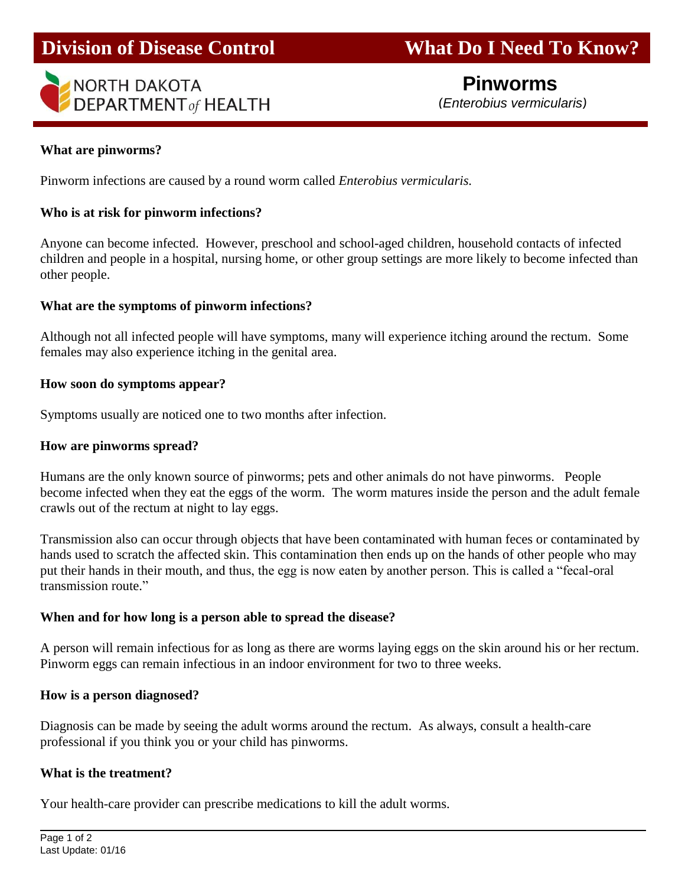# **Division of Disease Control What Do I Need To Know?**



### **What are pinworms?**

Pinworm infections are caused by a round worm called *Enterobius vermicularis.*

#### **Who is at risk for pinworm infections?**

Anyone can become infected. However, preschool and school-aged children, household contacts of infected children and people in a hospital, nursing home, or other group settings are more likely to become infected than other people.

#### **What are the symptoms of pinworm infections?**

Although not all infected people will have symptoms, many will experience itching around the rectum. Some females may also experience itching in the genital area.

#### **How soon do symptoms appear?**

Symptoms usually are noticed one to two months after infection.

#### **How are pinworms spread?**

Humans are the only known source of pinworms; pets and other animals do not have pinworms. People become infected when they eat the eggs of the worm. The worm matures inside the person and the adult female crawls out of the rectum at night to lay eggs.

Transmission also can occur through objects that have been contaminated with human feces or contaminated by hands used to scratch the affected skin. This contamination then ends up on the hands of other people who may put their hands in their mouth, and thus, the egg is now eaten by another person. This is called a "fecal-oral transmission route."

#### **When and for how long is a person able to spread the disease?**

A person will remain infectious for as long as there are worms laying eggs on the skin around his or her rectum. Pinworm eggs can remain infectious in an indoor environment for two to three weeks.

#### **How is a person diagnosed?**

Diagnosis can be made by seeing the adult worms around the rectum. As always, consult a health-care professional if you think you or your child has pinworms.

#### **What is the treatment?**

Your health-care provider can prescribe medications to kill the adult worms.